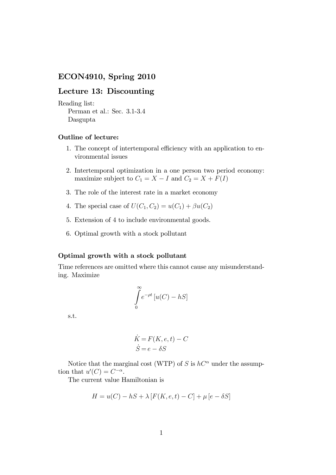## ECON4910, Spring 2010

## Lecture 13: Discounting

```
Reading list:
Perman et al.: Sec. 3.1-3.4
Dasgupta
```
## Outline of lecture:

- 1. The concept of intertemporal efficiency with an application to environmental issues
- 2. Intertemporal optimization in a one person two period economy: maximize subject to  $C_1 = X - I$  and  $C_2 = X + F(I)$
- 3. The role of the interest rate in a market economy
- 4. The special case of  $U(C_1, C_2) = u(C_1) + \beta u(C_2)$
- 5. Extension of 4 to include environmental goods.
- 6. Optimal growth with a stock pollutant

## Optimal growth with a stock pollutant

Time references are omitted where this cannot cause any misunderstanding. Maximize

$$
\int_{0}^{\infty} e^{-\rho t} \left[ u(C) - hS \right]
$$

s.t.

$$
\dot{K} = F(K, e, t) - C
$$
  

$$
\dot{S} = e - \delta S
$$

Notice that the marginal cost (WTP) of S is  $hC^{\alpha}$  under the assumption that  $u'(C) = C^{-\alpha}$ .

The current value Hamiltonian is

$$
H = u(C) - hS + \lambda [F(K, e, t) - C] + \mu [e - \delta S]
$$